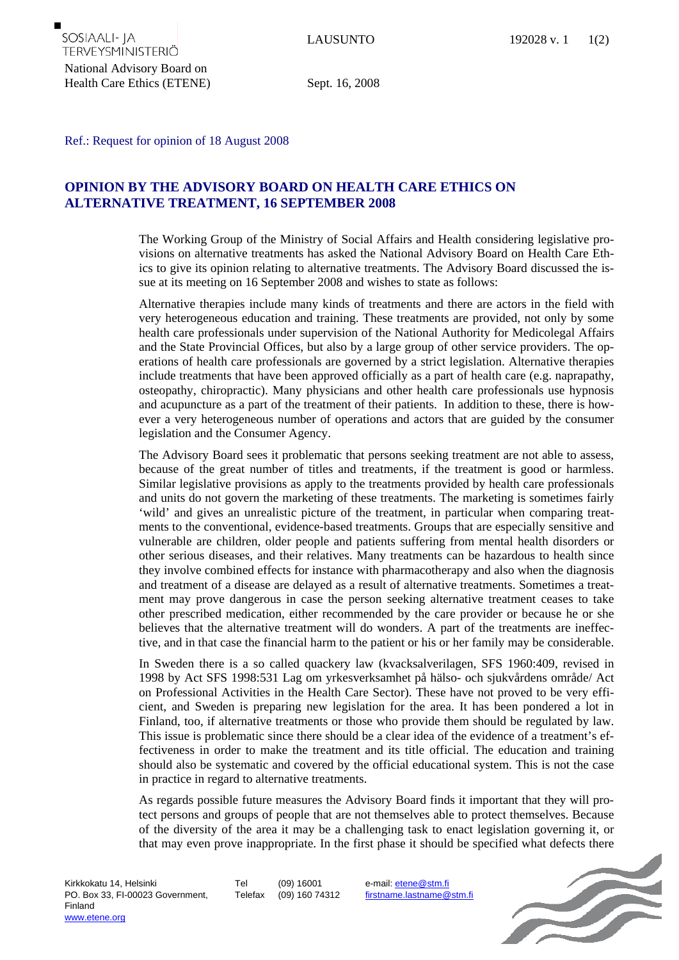## Ref.: Request for opinion of 18 August 2008

## **OPINION BY THE ADVISORY BOARD ON HEALTH CARE ETHICS ON ALTERNATIVE TREATMENT, 16 SEPTEMBER 2008**

The Working Group of the Ministry of Social Affairs and Health considering legislative provisions on alternative treatments has asked the National Advisory Board on Health Care Ethics to give its opinion relating to alternative treatments. The Advisory Board discussed the issue at its meeting on 16 September 2008 and wishes to state as follows:

Alternative therapies include many kinds of treatments and there are actors in the field with very heterogeneous education and training. These treatments are provided, not only by some health care professionals under supervision of the National Authority for Medicolegal Affairs and the State Provincial Offices, but also by a large group of other service providers. The operations of health care professionals are governed by a strict legislation. Alternative therapies include treatments that have been approved officially as a part of health care (e.g. naprapathy, osteopathy, chiropractic). Many physicians and other health care professionals use hypnosis and acupuncture as a part of the treatment of their patients. In addition to these, there is however a very heterogeneous number of operations and actors that are guided by the consumer legislation and the Consumer Agency.

The Advisory Board sees it problematic that persons seeking treatment are not able to assess, because of the great number of titles and treatments, if the treatment is good or harmless. Similar legislative provisions as apply to the treatments provided by health care professionals and units do not govern the marketing of these treatments. The marketing is sometimes fairly 'wild' and gives an unrealistic picture of the treatment, in particular when comparing treatments to the conventional, evidence-based treatments. Groups that are especially sensitive and vulnerable are children, older people and patients suffering from mental health disorders or other serious diseases, and their relatives. Many treatments can be hazardous to health since they involve combined effects for instance with pharmacotherapy and also when the diagnosis and treatment of a disease are delayed as a result of alternative treatments. Sometimes a treatment may prove dangerous in case the person seeking alternative treatment ceases to take other prescribed medication, either recommended by the care provider or because he or she believes that the alternative treatment will do wonders. A part of the treatments are ineffective, and in that case the financial harm to the patient or his or her family may be considerable.

In Sweden there is a so called quackery law (kvacksalverilagen, SFS 1960:409, revised in 1998 by Act SFS 1998:531 Lag om yrkesverksamhet på hälso- och sjukvårdens område/ Act on Professional Activities in the Health Care Sector). These have not proved to be very efficient, and Sweden is preparing new legislation for the area. It has been pondered a lot in Finland, too, if alternative treatments or those who provide them should be regulated by law. This issue is problematic since there should be a clear idea of the evidence of a treatment's effectiveness in order to make the treatment and its title official. The education and training should also be systematic and covered by the official educational system. This is not the case in practice in regard to alternative treatments.

As regards possible future measures the Advisory Board finds it important that they will protect persons and groups of people that are not themselves able to protect themselves. Because of the diversity of the area it may be a challenging task to enact legislation governing it, or that may even prove inappropriate. In the first phase it should be specified what defects there

Tel (09) 16001 Telefax (09) 160 74312 e-mail: etene@stm.fi firstname.lastname@stm.fi